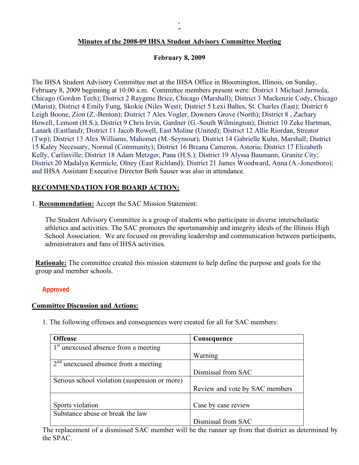# **Minutes of the 2008-09 IHSA Student Advisory Committee Meeting**

# **February 8, 2009**

The IHSA Student Advisory Committee met at the IHSA Office in Bloomington, Illinois, on Sunday, February 8, 2009 beginning at 10:00 a.m. Committee members present were: District 1 Michael Jarmola, Chicago (Gordon Tech); District 2 Raygene Brice, Chicago (Marshall); District 3 Mackenzie Cody, Chicago (Marist); District 4 Emily Fung, Skokie (Niles West); District 5 Lexi Baltes, St. Charles (East); District 6 Leigh Boone, Zion (Z.-Benton); District 7 Alex Vogler, Downers Grove (North); District 8 , Zachary Howell, Lemont (H.S.); District 9 Chris Irvin, Gardner (G.-South Wilmington); District 10 Zeke Hartman, Lanark (Eastland); District 11 Jacob Rowell, East Moline (United); District 12 Allie Riordan, Streator (Twp); District 13 Alex Williams, Mahomet (M.-Seymour); District 14 Gabrielle Kuhn, Marshall; District 15 Kaley Necessary, Normal (Community); District 16 Breana Cameron, Astoria; District 17 Elizabeth Kelly, Carlinville; District 18 Adam Metzger, Pana (H.S.); District 19 Alyssa Baumann, Granite City; District 20 Madalyn Kermicle, Olney (East Richland); District 21 James Woodward, Anna (A.-Jonesboro); and IHSA Assistant Executive Director Beth Sauser was also in attendance.

# **RECOMMENDATION FOR BOARD ACTION:**

1. **Recommendation:** Accept the SAC Mission Statement:

The Student Advisory Committee is a group of students who participate in diverse interscholastic athletics and activities. The SAC promotes the sportsmanship and integrity ideals of the Illinois High School Association. We are focused on providing leadership and communication between participants, administrators and fans of IHSA activities.

**Rationale:** The committee created this mission statement to help define the purpose and goals for the group and member schools.

# **Approved**

### **Committee Discussion and Actions:**

1. The following offenses and consequences were created for all for SAC members:

| <b>Offense</b>                                | Consequence                    |
|-----------------------------------------------|--------------------------------|
| $1st$ unexcused absence from a meeting        |                                |
|                                               | Warning                        |
| $2nd$ unexcused absence from a meeting        |                                |
|                                               | Dismissal from SAC             |
| Serious school violation (suspension or more) |                                |
|                                               | Review and vote by SAC members |
|                                               |                                |
| Sports violation                              | Case by case review            |
| Substance abuse or break the law              |                                |
|                                               | Dismissal from SAC             |

The replacement of a dismissed SAC member will be the runner up from that district as determined by the SPAC.